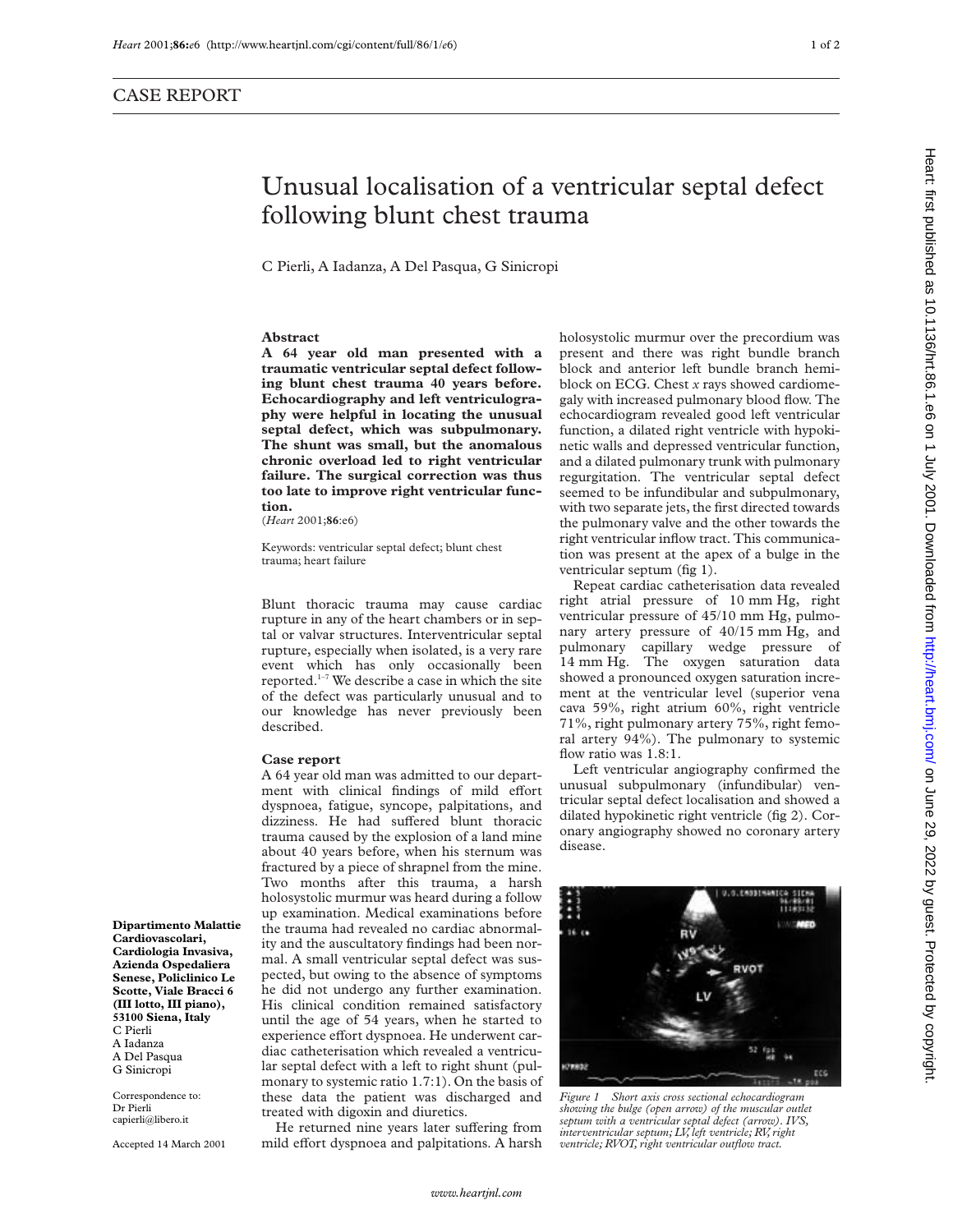## Unusual localisation of a ventricular septal defect following blunt chest trauma

C Pierli, A Iadanza, A Del Pasqua, G Sinicropi

## **Abstract**

**A 64 year old man presented with a traumatic ventricular septal defect following blunt chest trauma 40 years before. Echocardiography and left ventriculography were helpful in locating the unusual septal defect, which was subpulmonary. The shunt was small, but the anomalous chronic overload led to right ventricular failure. The surgical correction was thus too late to improve right ventricular function.**

(*Heart* 2001;**86**:e6)

Keywords: ventricular septal defect; blunt chest trauma; heart failure

Blunt thoracic trauma may cause cardiac rupture in any of the heart chambers or in septal or valvar structures. Interventricular septal rupture, especially when isolated, is a very rare event which has only occasionally been reported.1–7 We describe a case in which the site of the defect was particularly unusual and to our knowledge has never previously been described.

## **Case report**

A 64 year old man was admitted to our department with clinical findings of mild effort dyspnoea, fatigue, syncope, palpitations, and dizziness. He had suffered blunt thoracic trauma caused by the explosion of a land mine about 40 years before, when his sternum was fractured by a piece of shrapnel from the mine. Two months after this trauma, a harsh holosystolic murmur was heard during a follow up examination. Medical examinations before the trauma had revealed no cardiac abnormality and the auscultatory findings had been normal. A small ventricular septal defect was suspected, but owing to the absence of symptoms he did not undergo any further examination. His clinical condition remained satisfactory until the age of 54 years, when he started to experience effort dyspnoea. He underwent cardiac catheterisation which revealed a ventricular septal defect with a left to right shunt (pulmonary to systemic ratio 1.7:1). On the basis of these data the patient was discharged and treated with digoxin and diuretics.

He returned nine years later suffering from mild effort dyspnoea and palpitations. A harsh

holosystolic murmur over the precordium was present and there was right bundle branch block and anterior left bundle branch hemiblock on ECG. Chest *x* rays showed cardiomegaly with increased pulmonary blood flow. The echocardiogram revealed good left ventricular function, a dilated right ventricle with hypokinetic walls and depressed ventricular function, and a dilated pulmonary trunk with pulmonary regurgitation. The ventricular septal defect seemed to be infundibular and subpulmonary, with two separate jets, the first directed towards the pulmonary valve and the other towards the right ventricular inflow tract. This communication was present at the apex of a bulge in the ventricular septum (fig 1).

Repeat cardiac catheterisation data revealed right atrial pressure of 10 mm Hg, right ventricular pressure of 45/10 mm Hg, pulmonary artery pressure of 40/15 mm Hg, and pulmonary capillary wedge pressure of 14 mm Hg. The oxygen saturation data showed a pronounced oxygen saturation increment at the ventricular level (superior vena cava 59%, right atrium 60%, right ventricle 71%, right pulmonary artery 75%, right femoral artery 94%). The pulmonary to systemic flow ratio was 1.8:1.

Left ventricular angiography confirmed the unusual subpulmonary (infundibular) ventricular septal defect localisation and showed a dilated hypokinetic right ventricle (fig 2). Coronary angiography showed no coronary artery disease.



*Figure 1 Short axis cross sectional echocardiogram showing the bulge (open arrow) of the muscular outlet septum with a ventricular septal defect (arrow). IVS, interventricular septum; LV, left ventricle; RV, right ventricle; RVOT, right ventricular outflow tract.*

Heart: first published as 10.1136/hrt.86.1.e6 on 1 July 2001. Downloaded from http://heart.bmj.com/ on June 29, 2022 by guest. Protected by copyright Publish protected by guest. Protected by guest. Protection in the subsett published the and the first published as 10.1136/hrt. Burded by 2020 by sheets published as 10.1136/brt. 86.1.98.1.9.1317. Downloaded from the 29, 2

**(III lotto, III piano), 53100 Siena, Italy** C Pierli A Iadanza A Del Pasqua G Sinicropi Correspondence to:

**Dipartimento Malattie Cardiovascolari, Cardiologia Invasiva, Azienda Ospedaliera Senese, Policlinico Le Scotte, Viale Bracci 6**

Dr Pierli capierli@libero.it

Accepted 14 March 2001